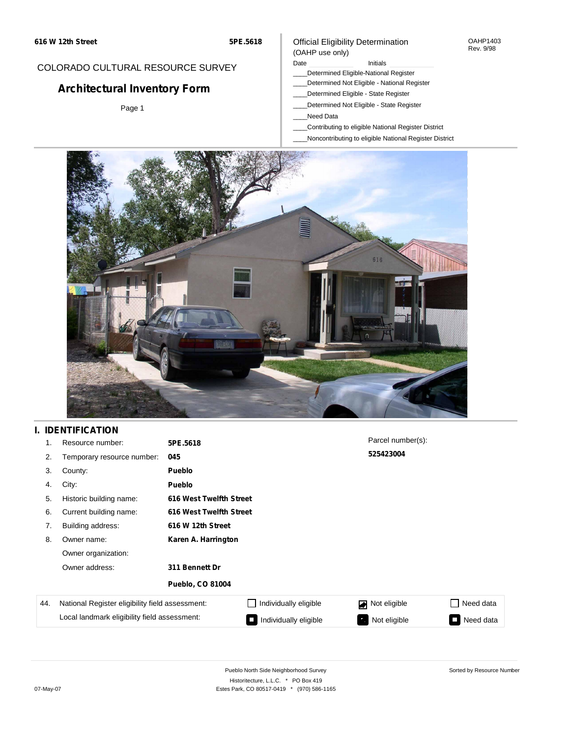#### OAHP1403 Rev. 9/98

### COLORADO CULTURAL RESOURCE SURVEY

# **Architectural Inventory Form**

Page 1

#### (OAHP use only) Date **Initials** Initials

\_\_\_\_Determined Eligible-National Register

Official Eligibility Determination

- \_\_\_\_Determined Not Eligible National Register
- \_\_\_\_Determined Eligible State Register
- \_\_\_\_Determined Not Eligible State Register
- \_\_\_\_Need Data
- \_\_\_\_Contributing to eligible National Register District
- \_\_\_\_Noncontributing to eligible National Register District



## **I. IDENTIFICATION**

| 1.  | Resource number:                                | 5PE.5618                |                       | Parcel number(s): |           |
|-----|-------------------------------------------------|-------------------------|-----------------------|-------------------|-----------|
| 2.  | Temporary resource number:                      | 045                     |                       | 525423004         |           |
| 3.  | County:                                         | <b>Pueblo</b>           |                       |                   |           |
| 4.  | City:                                           | <b>Pueblo</b>           |                       |                   |           |
| 5.  | Historic building name:                         | 616 West Twelfth Street |                       |                   |           |
| 6.  | Current building name:                          | 616 West Twelfth Street |                       |                   |           |
| 7.  | Building address:                               | 616 W 12th Street       |                       |                   |           |
| 8.  | Owner name:                                     | Karen A. Harrington     |                       |                   |           |
|     | Owner organization:                             |                         |                       |                   |           |
|     | Owner address:                                  | 311 Bennett Dr          |                       |                   |           |
|     |                                                 | <b>Pueblo, CO 81004</b> |                       |                   |           |
| 44. | National Register eligibility field assessment: |                         | Individually eligible | Not eligible      | Need data |
|     | Local landmark eligibility field assessment:    |                         | Individually eligible | Not eligible<br>ъ | Need data |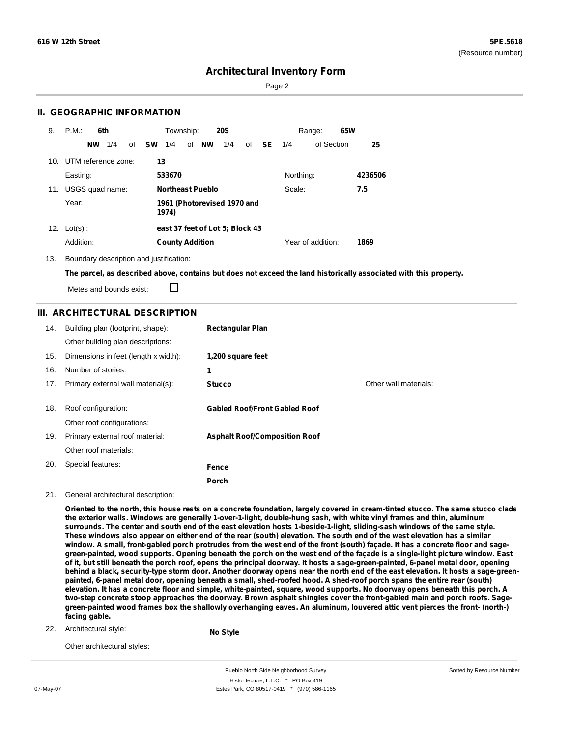Sorted by Resource Number

## **Architectural Inventory Form**

Page 2

### **II. GEOGRAPHIC INFORMATION**

| 9.  | P.M.<br>6th            | Township:<br><b>20S</b>                                | 65W<br>Range:     |         |
|-----|------------------------|--------------------------------------------------------|-------------------|---------|
|     | 1/4<br><b>NW</b><br>οf | <b>NW</b><br><b>SW</b><br>1/4<br>of<br>1/4<br>SE<br>of | of Section<br>1/4 | 25      |
| 10. | UTM reference zone:    | 13                                                     |                   |         |
|     | Easting:               | 533670                                                 | Northing:         | 4236506 |
|     | 11. USGS quad name:    | <b>Northeast Pueblo</b>                                | Scale:<br>7.5     |         |
|     | Year:                  | 1961 (Photorevised 1970 and<br>1974)                   |                   |         |
| 12. | $Lot(s)$ :             | east 37 feet of Lot 5; Block 43                        |                   |         |
|     | Addition:              | <b>County Addition</b>                                 | Year of addition: | 1869    |

13. Boundary description and justification:

The parcel, as described above, contains but does not exceed the land historically associated with this property.

П Metes and bounds exist:

### **III. ARCHITECTURAL DESCRIPTION**

| 14. | Building plan (footprint, shape):<br>Other building plan descriptions: | <b>Rectangular Plan</b>              |                       |
|-----|------------------------------------------------------------------------|--------------------------------------|-----------------------|
| 15. | Dimensions in feet (length x width):                                   | 1,200 square feet                    |                       |
| 16. | Number of stories:                                                     | 1                                    |                       |
| 17. | Primary external wall material(s):                                     | <b>Stucco</b>                        | Other wall materials: |
|     |                                                                        |                                      |                       |
| 18. | Roof configuration:                                                    | <b>Gabled Roof/Front Gabled Roof</b> |                       |
|     | Other roof configurations:                                             |                                      |                       |
| 19. | Primary external roof material:                                        | <b>Asphalt Roof/Composition Roof</b> |                       |
|     | Other roof materials:                                                  |                                      |                       |
| 20. | Special features:                                                      | Fence                                |                       |
|     |                                                                        | Porch                                |                       |

#### 21. General architectural description:

Oriented to the north, this house rests on a concrete foundation, largely covered in cream-tinted stucco. The same stucco clads the exterior walls. Windows are generally 1-over-1-light, double-hung sash, with white vinyl frames and thin, aluminum surrounds. The center and south end of the east elevation hosts 1-beside-1-light, sliding-sash windows of the same style. These windows also appear on either end of the rear (south) elevation. The south end of the west elevation has a similar window. A small, front-gabled porch protrudes from the west end of the front (south) façade. It has a concrete floor and sagegreen-painted, wood supports. Opening beneath the porch on the west end of the façade is a single-light picture window. East of it, but still beneath the porch roof, opens the principal doorway. It hosts a sage-green-painted, 6-panel metal door, opening behind a black, security-type storm door. Another doorway opens near the north end of the east elevation. It hosts a sage-greenpainted, 6-panel metal door, opening beneath a small, shed-roofed hood. A shed-roof porch spans the entire rear (south) elevation. It has a concrete floor and simple, white-painted, square, wood supports. No doorway opens beneath this porch. A two-step concrete stoop approaches the doorway. Brown asphalt shingles cover the front-gabled main and porch roofs. Sagegreen-painted wood frames box the shallowly overhanging eaves. An aluminum, louvered attic vent pierces the front- (north-) **facing gable.**

22. Architectural style:

**No Style**

Other architectural styles:

Pueblo North Side Neighborhood Survey Historitecture, L.L.C. \* PO Box 419 07-May-07 **Estes Park, CO 80517-0419** \* (970) 586-1165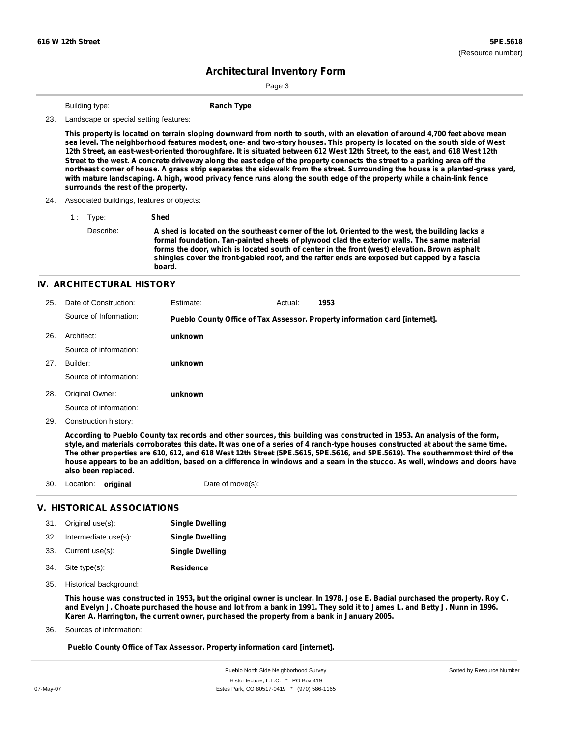Sorted by Resource Number

# **Architectural Inventory Form**

Page 3

**Building type: Ranch Type** 

23. Landscape or special setting features:

This property is located on terrain sloping downward from north to south, with an elevation of around 4,700 feet above mean sea level. The neighborhood features modest, one- and two-story houses. This property is located on the south side of West 12th Street, an east-west-oriented thoroughfare. It is situated between 612 West 12th Street, to the east, and 618 West 12th Street to the west. A concrete driveway along the east edge of the property connects the street to a parking area off the northeast corner of house. A grass strip separates the sidewalk from the street. Surrounding the house is a planted-grass yard, with mature landscaping. A high, wood privacy fence runs along the south edge of the property while a chain-link fence **surrounds the rest of the property.**

24. Associated buildings, features or objects:

1 : Type: **Shed**

Describe: A shed is located on the southeast corner of the lot. Oriented to the west, the building lacks a **formal foundation. Tan-painted sheets of plywood clad the exterior walls. The same material forms the door, which is located south of center in the front (west) elevation. Brown asphalt shingles cover the front-gabled roof, and the rafter ends are exposed but capped by a fascia board.**

#### **IV. ARCHITECTURAL HISTORY**

| 25. | Date of Construction:  | Estimate: | Actual: | 1953                                                                        |
|-----|------------------------|-----------|---------|-----------------------------------------------------------------------------|
|     | Source of Information: |           |         | Pueblo County Office of Tax Assessor. Property information card [internet]. |
| 26. | Architect:             | unknown   |         |                                                                             |
|     | Source of information: |           |         |                                                                             |
| 27. | Builder:               | unknown   |         |                                                                             |
|     | Source of information: |           |         |                                                                             |
| 28. | Original Owner:        | unknown   |         |                                                                             |
|     | Source of information: |           |         |                                                                             |

29. Construction history:

According to Pueblo County tax records and other sources, this building was constructed in 1953. An analysis of the form, style, and materials corroborates this date. It was one of a series of 4 ranch-type houses constructed at about the same time. The other properties are 610, 612, and 618 West 12th Street (5PE.5615, 5PE.5616, and 5PE.5619). The southernmost third of the house appears to be an addition, based on a difference in windows and a seam in the stucco. As well, windows and doors have **also been replaced.**

30. Location: **original** Date of move(s):

#### **V. HISTORICAL ASSOCIATIONS**

| 31. | Original use(s):     | <b>Single Dwelling</b> |
|-----|----------------------|------------------------|
| 32. | Intermediate use(s): | <b>Single Dwelling</b> |
| 33. | Current use(s):      | <b>Single Dwelling</b> |
| 34. | Site type(s):        | <b>Residence</b>       |

35. Historical background:

This house was constructed in 1953, but the original owner is unclear. In 1978, Jose E. Badial purchased the property. Roy C. and Evelyn J. Choate purchased the house and lot from a bank in 1991. They sold it to James L. and Betty J. Nunn in 1996. **Karen A. Harrington, the current owner, purchased the property from a bank in January 2005.**

Sources of information: 36.

**Pueblo County Office of Tax Assessor. Property information card [internet].**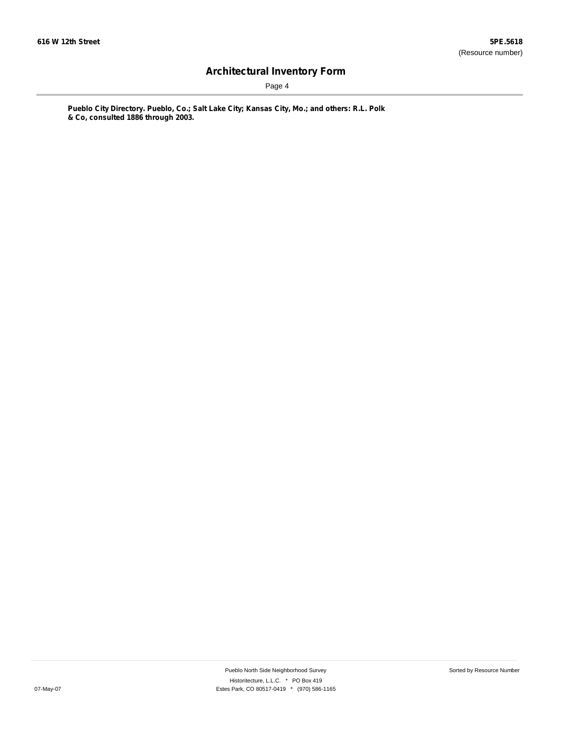Page 4

**Pueblo City Directory. Pueblo, Co.; Salt Lake City; Kansas City, Mo.; and others: R.L. Polk & Co, consulted 1886 through 2003.**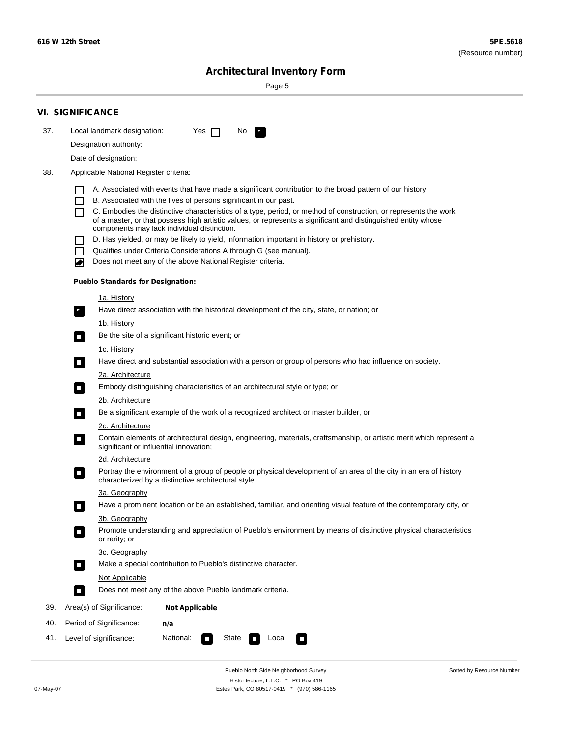Sorted by Resource Number

# **Architectural Inventory Form**

Page 5

|     | <b>VI. SIGNIFICANCE</b>                                                                                                                                                                        |
|-----|------------------------------------------------------------------------------------------------------------------------------------------------------------------------------------------------|
| 37. | Local landmark designation:<br>Yes $\Box$<br>No.<br>$\mathbf{F}_{\mathbf{r}}$                                                                                                                  |
|     | Designation authority:                                                                                                                                                                         |
|     | Date of designation:                                                                                                                                                                           |
| 38. | Applicable National Register criteria:                                                                                                                                                         |
|     |                                                                                                                                                                                                |
|     | A. Associated with events that have made a significant contribution to the broad pattern of our history.<br>B. Associated with the lives of persons significant in our past.<br>$\blacksquare$ |
|     | C. Embodies the distinctive characteristics of a type, period, or method of construction, or represents the work<br>П                                                                          |
|     | of a master, or that possess high artistic values, or represents a significant and distinguished entity whose<br>components may lack individual distinction.                                   |
|     | D. Has yielded, or may be likely to yield, information important in history or prehistory.                                                                                                     |
|     | Qualifies under Criteria Considerations A through G (see manual).<br>$\sim$                                                                                                                    |
|     | Does not meet any of the above National Register criteria.<br>₩                                                                                                                                |
|     | <b>Pueblo Standards for Designation:</b>                                                                                                                                                       |
|     | 1a. History                                                                                                                                                                                    |
|     | $\overline{\mathbf{r}}_1$<br>Have direct association with the historical development of the city, state, or nation; or                                                                         |
|     | <u>1b. History</u>                                                                                                                                                                             |
|     | Be the site of a significant historic event; or<br>$\overline{\phantom{a}}$                                                                                                                    |
|     | 1c. History                                                                                                                                                                                    |
|     | Have direct and substantial association with a person or group of persons who had influence on society.<br>$\overline{\phantom{a}}$                                                            |
|     | 2a. Architecture                                                                                                                                                                               |
|     | Embody distinguishing characteristics of an architectural style or type; or<br>$\Box$                                                                                                          |
|     | 2b. Architecture                                                                                                                                                                               |
|     | Be a significant example of the work of a recognized architect or master builder, or<br>$\Box$                                                                                                 |
|     | 2c. Architecture                                                                                                                                                                               |
|     | Contain elements of architectural design, engineering, materials, craftsmanship, or artistic merit which represent a<br>$\Box$<br>significant or influential innovation;                       |
|     | 2d. Architecture                                                                                                                                                                               |
|     | Portray the environment of a group of people or physical development of an area of the city in an era of history<br>$\Box$<br>characterized by a distinctive architectural style.              |
|     | 3a. Geography                                                                                                                                                                                  |
|     | Have a prominent location or be an established, familiar, and orienting visual feature of the contemporary city, or                                                                            |
|     | 3b. Geography<br>Promote understanding and appreciation of Pueblo's environment by means of distinctive physical characteristics                                                               |
|     | or rarity; or                                                                                                                                                                                  |
|     | 3c. Geography                                                                                                                                                                                  |
|     | Make a special contribution to Pueblo's distinctive character.<br>$\overline{\phantom{a}}$                                                                                                     |
|     | <b>Not Applicable</b>                                                                                                                                                                          |
|     | Does not meet any of the above Pueblo landmark criteria.<br>$\overline{\phantom{a}}$                                                                                                           |
| 39. | Area(s) of Significance:<br><b>Not Applicable</b>                                                                                                                                              |
| 40. | Period of Significance:<br>n/a                                                                                                                                                                 |
| 41. | National:<br>Level of significance:<br>State<br>Local<br>$\mathcal{L}_{\mathcal{A}}$<br>$\Box$                                                                                                 |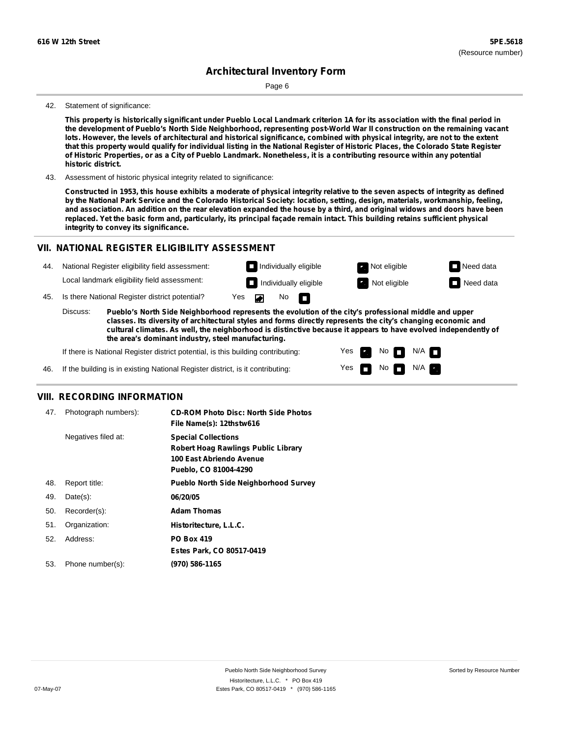Page 6

#### 42. Statement of significance:

This property is historically significant under Pueblo Local Landmark criterion 1A for its association with the final period in the development of Pueblo's North Side Neighborhood, representing post-World War II construction on the remaining vacant lots. However, the levels of architectural and historical significance, combined with physical integrity, are not to the extent that this property would qualify for individual listing in the National Register of Historic Places, the Colorado State Register of Historic Properties, or as a City of Pueblo Landmark. Nonetheless, it is a contributing resource within any potential **historic district.**

43. Assessment of historic physical integrity related to significance:

Constructed in 1953, this house exhibits a moderate of physical integrity relative to the seven aspects of integrity as defined by the National Park Service and the Colorado Historical Society: location, setting, design, materials, workmanship, feeling, and association. An addition on the rear elevation expanded the house by a third, and original widows and doors have been replaced. Yet the basic form and, particularly, its principal façade remain intact. This building retains sufficient physical **integrity to convey its significance.**

### **VII. NATIONAL REGISTER ELIGIBILITY ASSESSMENT**



**classes. Its diversity of architectural styles and forms directly represents the city's changing economic and cultural climates. As well, the neighborhood is distinctive because it appears to have evolved independently of the area's dominant industry, steel manufacturing.**

> Yes Yes

**The Second Second** 

Non<sub>d</sub> N/A No  $\blacksquare$  N/A  $\blacksquare$ 

If there is National Register district potential, is this building contributing:

If the building is in existing National Register district, is it contributing: 46.

#### **VIII. RECORDING INFORMATION**

| 47. | Photograph numbers): | <b>CD-ROM Photo Disc: North Side Photos</b><br>File Name(s): 12thstw616                                                       |
|-----|----------------------|-------------------------------------------------------------------------------------------------------------------------------|
|     | Negatives filed at:  | <b>Special Collections</b><br><b>Robert Hoag Rawlings Public Library</b><br>100 East Abriendo Avenue<br>Pueblo, CO 81004-4290 |
| 48. | Report title:        | <b>Pueblo North Side Neighborhood Survey</b>                                                                                  |
| 49. | $Date(s)$ :          | 06/20/05                                                                                                                      |
| 50. | Recorder(s):         | <b>Adam Thomas</b>                                                                                                            |
| 51. | Organization:        | Historitecture, L.L.C.                                                                                                        |
| 52. | Address:             | <b>PO Box 419</b>                                                                                                             |
|     |                      | Estes Park, CO 80517-0419                                                                                                     |
| 53. | Phone number(s):     | (970) 586-1165                                                                                                                |
|     |                      |                                                                                                                               |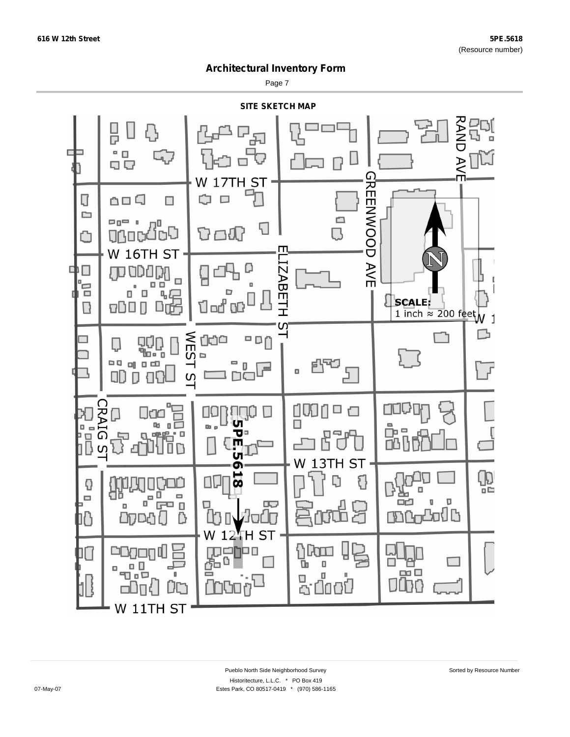Page 7